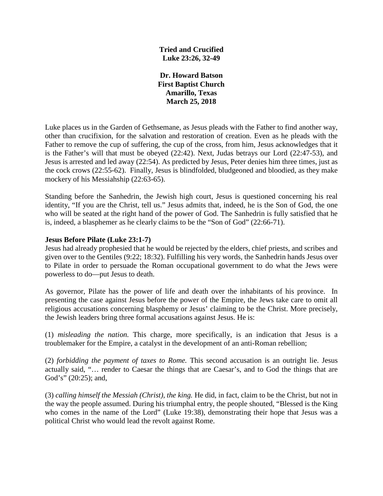**Tried and Crucified Luke 23:26, 32-49**

**Dr. Howard Batson First Baptist Church Amarillo, Texas March 25, 2018**

Luke places us in the Garden of Gethsemane, as Jesus pleads with the Father to find another way, other than crucifixion, for the salvation and restoration of creation. Even as he pleads with the Father to remove the cup of suffering, the cup of the cross, from him, Jesus acknowledges that it is the Father's will that must be obeyed (22:42). Next, Judas betrays our Lord (22:47-53), and Jesus is arrested and led away (22:54). As predicted by Jesus, Peter denies him three times, just as the cock crows (22:55-62). Finally, Jesus is blindfolded, bludgeoned and bloodied, as they make mockery of his Messiahship (22:63-65).

Standing before the Sanhedrin, the Jewish high court, Jesus is questioned concerning his real identity, "If you are the Christ, tell us." Jesus admits that, indeed, he is the Son of God, the one who will be seated at the right hand of the power of God. The Sanhedrin is fully satisfied that he is, indeed, a blasphemer as he clearly claims to be the "Son of God" (22:66-71).

### **Jesus Before Pilate (Luke 23:1-7)**

Jesus had already prophesied that he would be rejected by the elders, chief priests, and scribes and given over to the Gentiles (9:22; 18:32). Fulfilling his very words, the Sanhedrin hands Jesus over to Pilate in order to persuade the Roman occupational government to do what the Jews were powerless to do—put Jesus to death.

As governor, Pilate has the power of life and death over the inhabitants of his province. In presenting the case against Jesus before the power of the Empire, the Jews take care to omit all religious accusations concerning blasphemy or Jesus' claiming to be the Christ. More precisely, the Jewish leaders bring three formal accusations against Jesus. He is:

(1) *misleading the nation.* This charge, more specifically, is an indication that Jesus is a troublemaker for the Empire, a catalyst in the development of an anti-Roman rebellion;

(2) *forbidding the payment of taxes to Rome.* This second accusation is an outright lie. Jesus actually said, "… render to Caesar the things that are Caesar's, and to God the things that are God's" (20:25); and,

(3) *calling himself the Messiah (Christ), the king.* He did, in fact, claim to be the Christ, but not in the way the people assumed. During his triumphal entry, the people shouted, "Blessed is the King who comes in the name of the Lord" (Luke 19:38), demonstrating their hope that Jesus was a political Christ who would lead the revolt against Rome.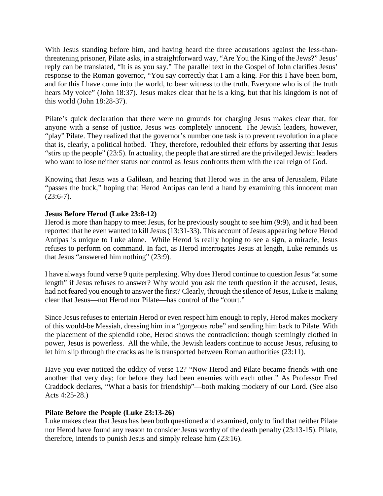With Jesus standing before him, and having heard the three accusations against the less-thanthreatening prisoner, Pilate asks, in a straightforward way, "Are You the King of the Jews?" Jesus' reply can be translated, "It is as you say." The parallel text in the Gospel of John clarifies Jesus' response to the Roman governor, "You say correctly that I am a king. For this I have been born, and for this I have come into the world, to bear witness to the truth. Everyone who is of the truth hears My voice" (John 18:37). Jesus makes clear that he is a king, but that his kingdom is not of this world (John 18:28-37).

Pilate's quick declaration that there were no grounds for charging Jesus makes clear that, for anyone with a sense of justice, Jesus was completely innocent. The Jewish leaders, however, "play" Pilate. They realized that the governor's number one task is to prevent revolution in a place that is, clearly, a political hotbed. They, therefore, redoubled their efforts by asserting that Jesus "stirs up the people" (23:5). In actuality, the people that are stirred are the privileged Jewish leaders who want to lose neither status nor control as Jesus confronts them with the real reign of God.

Knowing that Jesus was a Galilean, and hearing that Herod was in the area of Jerusalem, Pilate "passes the buck," hoping that Herod Antipas can lend a hand by examining this innocent man  $(23:6-7)$ .

# **Jesus Before Herod (Luke 23:8-12)**

Herod is more than happy to meet Jesus, for he previously sought to see him (9:9), and it had been reported that he even wanted to kill Jesus (13:31-33). This account of Jesus appearing before Herod Antipas is unique to Luke alone. While Herod is really hoping to see a sign, a miracle, Jesus refuses to perform on command. In fact, as Herod interrogates Jesus at length, Luke reminds us that Jesus "answered him nothing" (23:9).

I have always found verse 9 quite perplexing. Why does Herod continue to question Jesus "at some length" if Jesus refuses to answer? Why would you ask the tenth question if the accused, Jesus, had not feared you enough to answer the first? Clearly, through the silence of Jesus, Luke is making clear that Jesus—not Herod nor Pilate—has control of the "court."

Since Jesus refuses to entertain Herod or even respect him enough to reply, Herod makes mockery of this would-be Messiah, dressing him in a "gorgeous robe" and sending him back to Pilate. With the placement of the splendid robe, Herod shows the contradiction: though seemingly clothed in power, Jesus is powerless. All the while, the Jewish leaders continue to accuse Jesus, refusing to let him slip through the cracks as he is transported between Roman authorities (23:11).

Have you ever noticed the oddity of verse 12? "Now Herod and Pilate became friends with one another that very day; for before they had been enemies with each other." As Professor Fred Craddock declares, "What a basis for friendship"—both making mockery of our Lord. (See also Acts 4:25-28.)

### **Pilate Before the People (Luke 23:13-26)**

Luke makes clear that Jesus has been both questioned and examined, only to find that neither Pilate nor Herod have found any reason to consider Jesus worthy of the death penalty (23:13-15). Pilate, therefore, intends to punish Jesus and simply release him (23:16).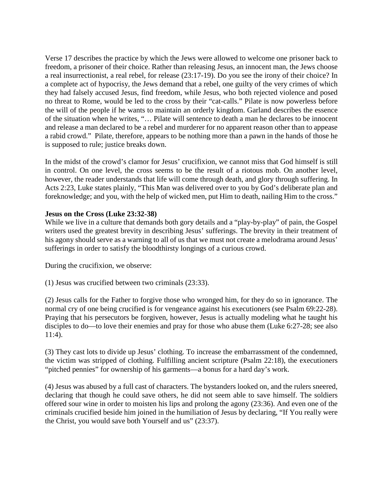Verse 17 describes the practice by which the Jews were allowed to welcome one prisoner back to freedom, a prisoner of their choice. Rather than releasing Jesus, an innocent man, the Jews choose a real insurrectionist, a real rebel, for release (23:17-19). Do you see the irony of their choice? In a complete act of hypocrisy, the Jews demand that a rebel, one guilty of the very crimes of which they had falsely accused Jesus, find freedom, while Jesus, who both rejected violence and posed no threat to Rome, would be led to the cross by their "cat-calls." Pilate is now powerless before the will of the people if he wants to maintain an orderly kingdom. Garland describes the essence of the situation when he writes, "… Pilate will sentence to death a man he declares to be innocent and release a man declared to be a rebel and murderer for no apparent reason other than to appease a rabid crowd." Pilate, therefore, appears to be nothing more than a pawn in the hands of those he is supposed to rule; justice breaks down.

In the midst of the crowd's clamor for Jesus' crucifixion, we cannot miss that God himself is still in control. On one level, the cross seems to be the result of a riotous mob. On another level, however, the reader understands that life will come through death, and glory through suffering. In Acts 2:23, Luke states plainly, "This Man was delivered over to you by God's deliberate plan and foreknowledge; and you, with the help of wicked men, put Him to death, nailing Him to the cross."

## **Jesus on the Cross (Luke 23:32-38)**

While we live in a culture that demands both gory details and a "play-by-play" of pain, the Gospel writers used the greatest brevity in describing Jesus' sufferings. The brevity in their treatment of his agony should serve as a warning to all of us that we must not create a melodrama around Jesus' sufferings in order to satisfy the bloodthirsty longings of a curious crowd.

During the crucifixion, we observe:

(1) Jesus was crucified between two criminals (23:33).

(2) Jesus calls for the Father to forgive those who wronged him, for they do so in ignorance. The normal cry of one being crucified is for vengeance against his executioners (see Psalm 69:22-28). Praying that his persecutors be forgiven, however, Jesus is actually modeling what he taught his disciples to do—to love their enemies and pray for those who abuse them (Luke 6:27-28; see also 11:4).

(3) They cast lots to divide up Jesus' clothing. To increase the embarrassment of the condemned, the victim was stripped of clothing. Fulfilling ancient scripture (Psalm 22:18), the executioners "pitched pennies" for ownership of his garments—a bonus for a hard day's work.

(4) Jesus was abused by a full cast of characters. The bystanders looked on, and the rulers sneered, declaring that though he could save others, he did not seem able to save himself. The soldiers offered sour wine in order to moisten his lips and prolong the agony (23:36). And even one of the criminals crucified beside him joined in the humiliation of Jesus by declaring, "If You really were the Christ, you would save both Yourself and us" (23:37).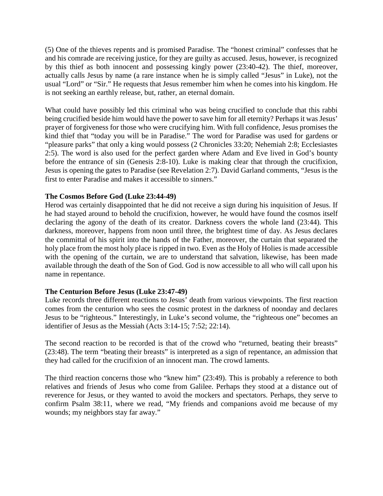(5) One of the thieves repents and is promised Paradise. The "honest criminal" confesses that he and his comrade are receiving justice, for they are guilty as accused. Jesus, however, is recognized by this thief as both innocent and possessing kingly power (23:40-42). The thief, moreover, actually calls Jesus by name (a rare instance when he is simply called "Jesus" in Luke), not the usual "Lord" or "Sir." He requests that Jesus remember him when he comes into his kingdom. He is not seeking an earthly release, but, rather, an eternal domain.

What could have possibly led this criminal who was being crucified to conclude that this rabbi being crucified beside him would have the power to save him for all eternity? Perhaps it was Jesus' prayer of forgiveness for those who were crucifying him. With full confidence, Jesus promises the kind thief that "today you will be in Paradise." The word for Paradise was used for gardens or "pleasure parks" that only a king would possess (2 Chronicles 33:20; Nehemiah 2:8; Ecclesiastes 2:5). The word is also used for the perfect garden where Adam and Eve lived in God's bounty before the entrance of sin (Genesis 2:8-10). Luke is making clear that through the crucifixion, Jesus is opening the gates to Paradise (see Revelation 2:7). David Garland comments, "Jesus is the first to enter Paradise and makes it accessible to sinners."

## **The Cosmos Before God (Luke 23:44-49)**

Herod was certainly disappointed that he did not receive a sign during his inquisition of Jesus. If he had stayed around to behold the crucifixion, however, he would have found the cosmos itself declaring the agony of the death of its creator. Darkness covers the whole land (23:44). This darkness, moreover, happens from noon until three, the brightest time of day. As Jesus declares the committal of his spirit into the hands of the Father, moreover, the curtain that separated the holy place from the most holy place is ripped in two. Even as the Holy of Holies is made accessible with the opening of the curtain, we are to understand that salvation, likewise, has been made available through the death of the Son of God. God is now accessible to all who will call upon his name in repentance.

### **The Centurion Before Jesus (Luke 23:47-49)**

Luke records three different reactions to Jesus' death from various viewpoints. The first reaction comes from the centurion who sees the cosmic protest in the darkness of noonday and declares Jesus to be "righteous." Interestingly, in Luke's second volume, the "righteous one" becomes an identifier of Jesus as the Messiah (Acts 3:14-15; 7:52; 22:14).

The second reaction to be recorded is that of the crowd who "returned, beating their breasts" (23:48). The term "beating their breasts" is interpreted as a sign of repentance, an admission that they had called for the crucifixion of an innocent man. The crowd laments.

The third reaction concerns those who "knew him" (23:49). This is probably a reference to both relatives and friends of Jesus who come from Galilee. Perhaps they stood at a distance out of reverence for Jesus, or they wanted to avoid the mockers and spectators. Perhaps, they serve to confirm Psalm 38:11, where we read, "My friends and companions avoid me because of my wounds; my neighbors stay far away."